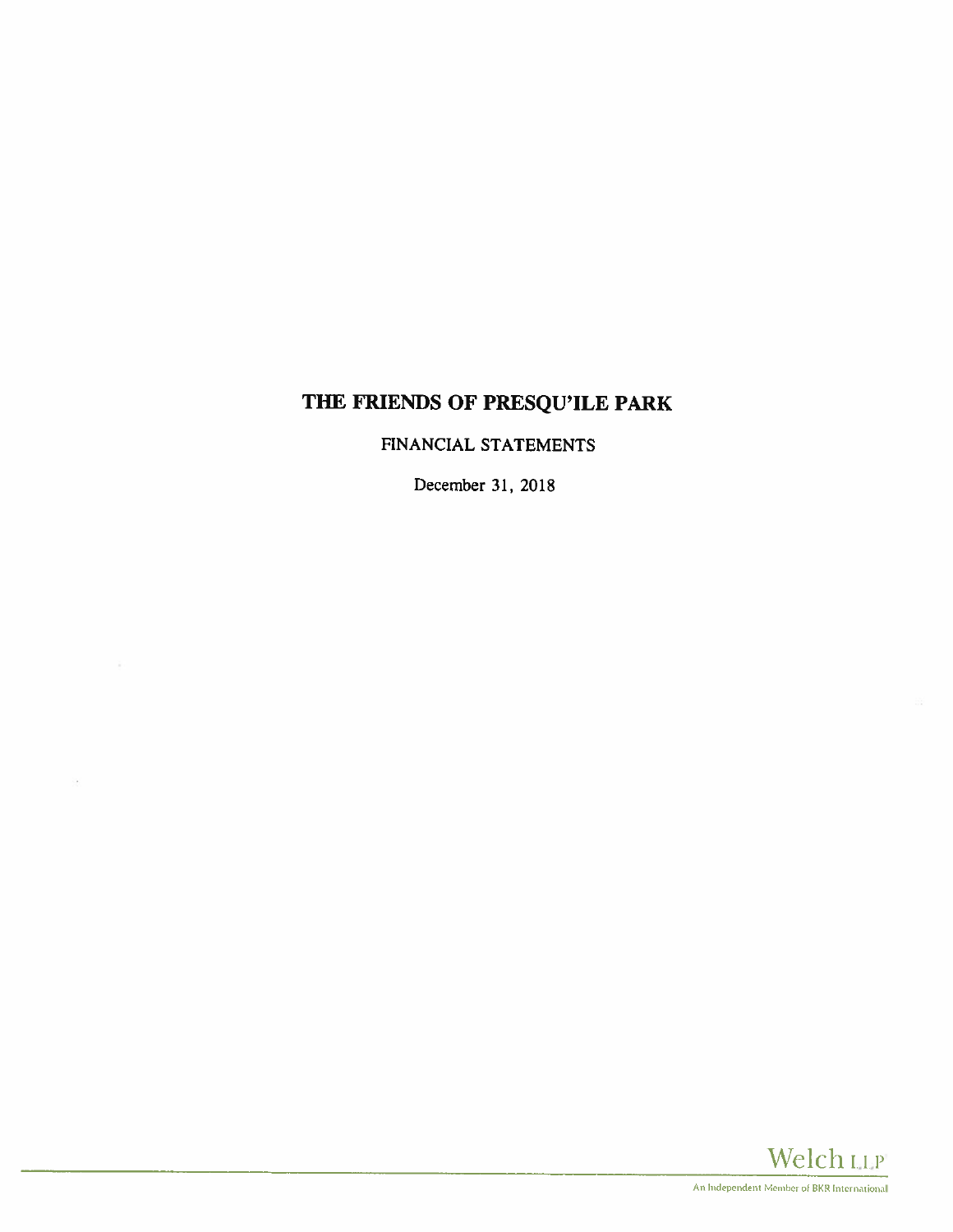# THE FRIENDS OF PRESQU'ILE PARK

FINANCIAL STATEMENTS

December 31, 2018

à.

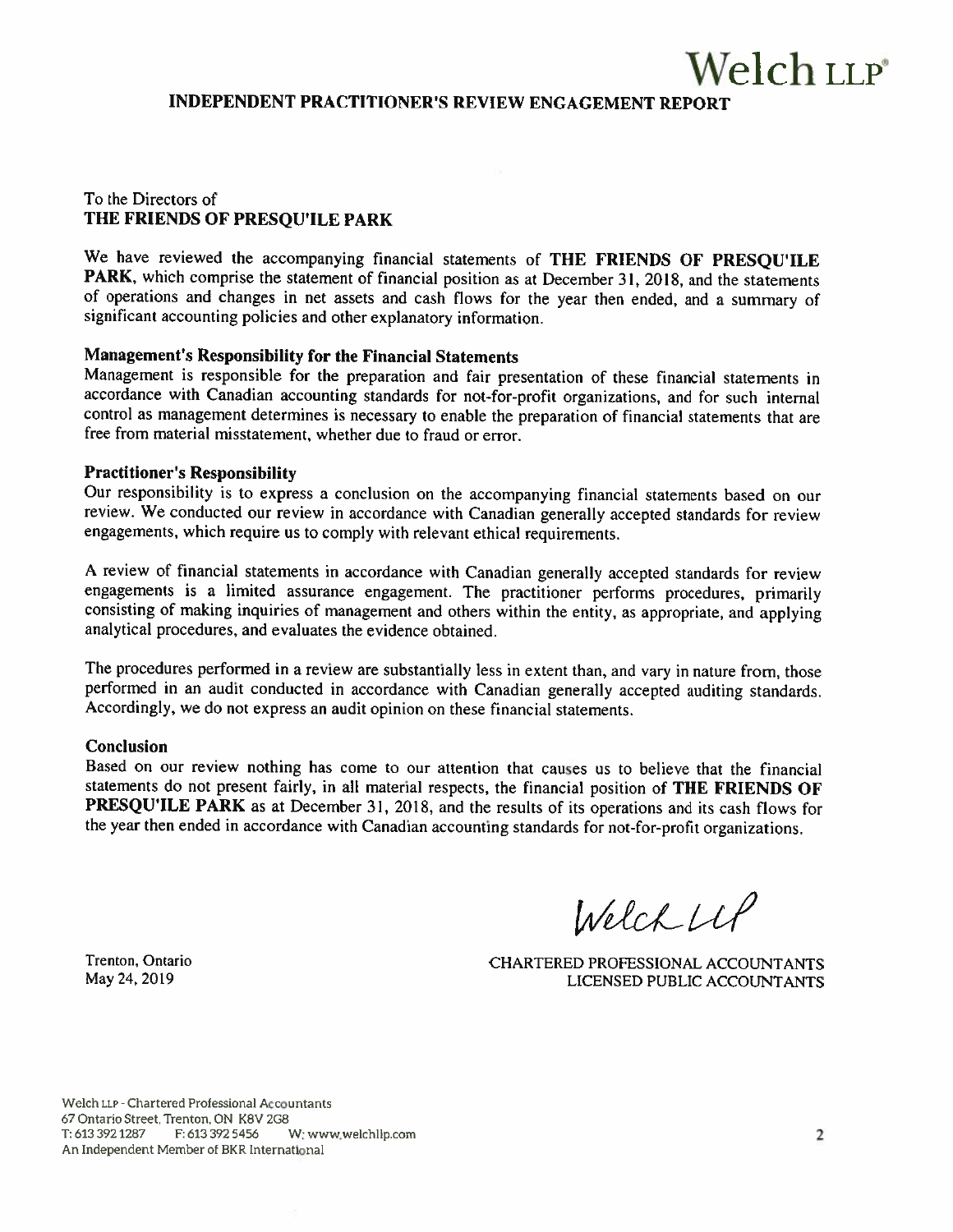INDEPENDENT PRACTITIONER'S REVIEW ENGAGEMENT REPORT

## To the Directors of THE FRIENDS OF PRESQU'ILE PARK

We have reviewed the accompanying financial statements of THE FRIENDS OF PRESOU'ILE PARK, which comprise the statement of financial position as at December 31, 2018, and the statements of operations and changes in net assets and cash flows for the year then ended, and <sup>a</sup> summary of significant accounting policies and other explanatory information.

## Management's Responsibility for the Financial Statements

Management is responsible for the preparation and fair presentation of these financial statements in accordance with Canadian accounting standards for not-for-profit organizations. and for such internal control as management determines is necessary to enable the preparation of financial statements that are free from material misstatement, whether due to fraud or error.

#### Practitioner's Responsibility

Our responsibility is to express <sup>a</sup> conclusion on the accompanying financial statements based on our review. We conducted our review in accordance with Canadian generally accepted standards for review engagements, which require us to comply with relevant ethical requirements.

<sup>A</sup> review of financial statements in accordance with Canadian generally accepted standards for review engagements is <sup>a</sup> limited assurance engagement. The practitioner performs procedures, primarily consisting of making inquiries of management and others within the entity, as appropriate, and applying analytical procedures, and evaluates the evidence obtained.

The procedures performed in <sup>a</sup> review are substantially less in extent than, and vary in nature from, those performed in an audit conducted in accordance with Canadian generally accepted auditing standards. Accordingly, we do not express an audit opinion on these financial statements.

#### Conclusion

Based on our review nothing has come to our attention that causes us to believe that the financial statements do not present fairly, in all material respects, the financial position of THE FRIENDS OF PRESQU'ILE PARK as at December 31, 2018. and the results of its operations and its cash flows for the year then ended in accordance with Canadian accounting standards for not-for-profit organizations.

 $We lchlll$ 

Trenton, Ontario CHARTERED PROFESSIONAL ACCOUNTANTS May 24, 2019 LICENSED PUBLIC ACCOUNTANTS

Welch LLp -Chartered Professional Accountants 67 Ontario Street, Trenton, ON KBV 2GB 1:6133921287 F: 613 392 5456 W: www.welch1lp.com 2 An independent Member of BKR International

Welch LLP<sup>®</sup>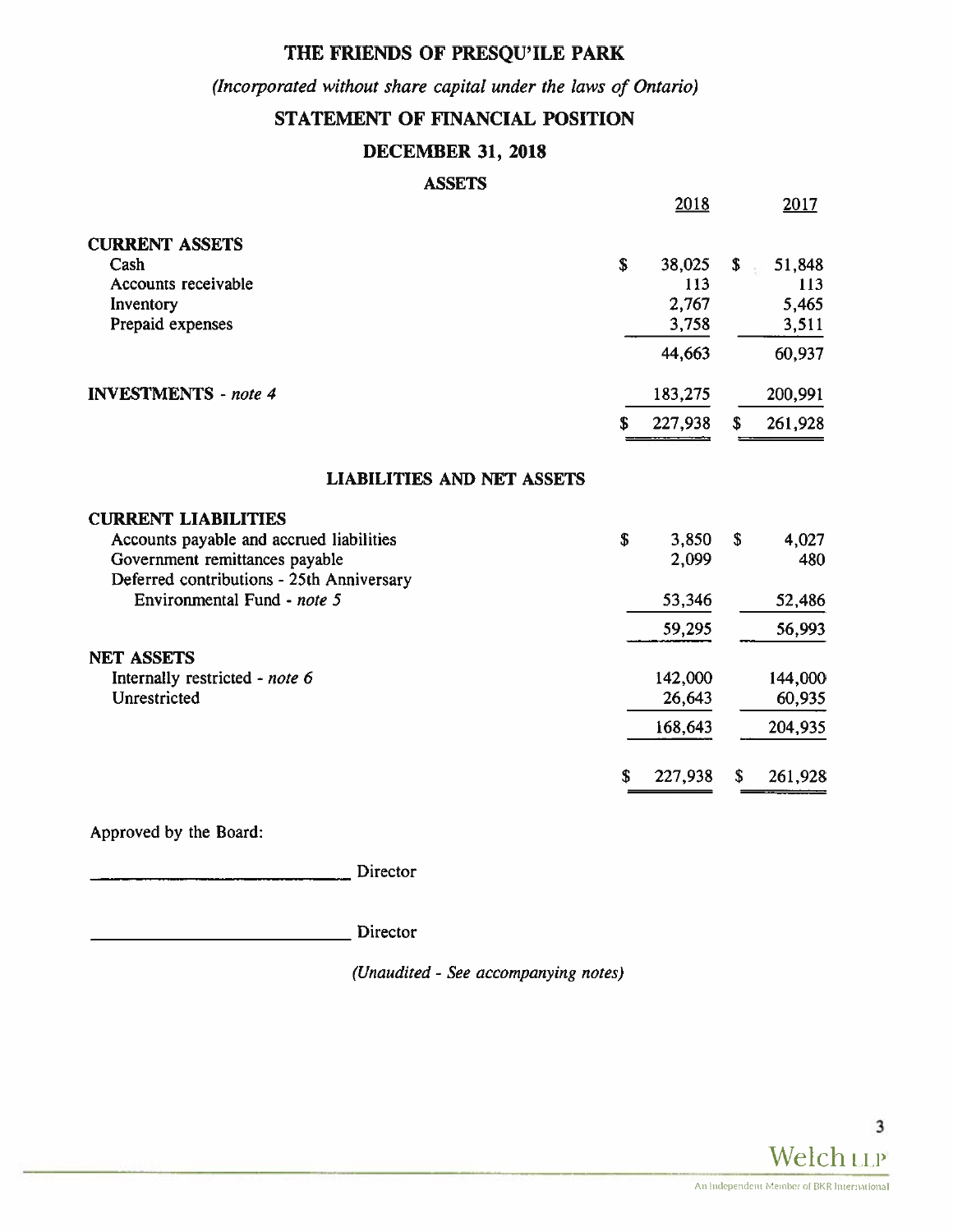# THE FRIENDS OF PRESQU'ILE PARK

(Incorporated without share capital under the laws of Ontario)

# STATEMENT OF FINANCIAL POSITION

# DECEMBER 31, 2018

# **ASSETS**

|                                           | 2018          |              | 2017    |
|-------------------------------------------|---------------|--------------|---------|
| <b>CURRENT ASSETS</b>                     |               |              |         |
| Cash                                      | \$<br>38,025  | \$           | 51,848  |
| Accounts receivable                       | 113           |              | 113     |
| Inventory                                 | 2,767         |              | 5,465   |
| Prepaid expenses                          | 3,758         |              | 3,511   |
|                                           | 44,663        |              | 60,937  |
| <b>INVESTMENTS</b> - note 4               | 183,275       |              | 200,991 |
|                                           | \$<br>227,938 | \$           | 261,928 |
| <b>LIABILITIES AND NET ASSETS</b>         |               |              |         |
| <b>CURRENT LIABILITIES</b>                |               |              |         |
| Accounts payable and accrued liabilities  | \$<br>3,850   | $\mathbf{s}$ | 4,027   |
| Government remittances payable            | 2,099         |              | 480     |
| Deferred contributions - 25th Anniversary |               |              |         |
| Environmental Fund - note 5               | 53,346        |              | 52,486  |
|                                           | 59,295        |              | 56,993  |
| <b>NET ASSETS</b>                         |               |              |         |
| Internally restricted - note 6            | 142,000       |              | 144,000 |
| Unrestricted                              | 26,643        |              | 60,935  |
|                                           | 168,643       |              | 204,935 |
|                                           | \$<br>227,938 | \$           | 261,928 |

Approved by the Board:

Director

Director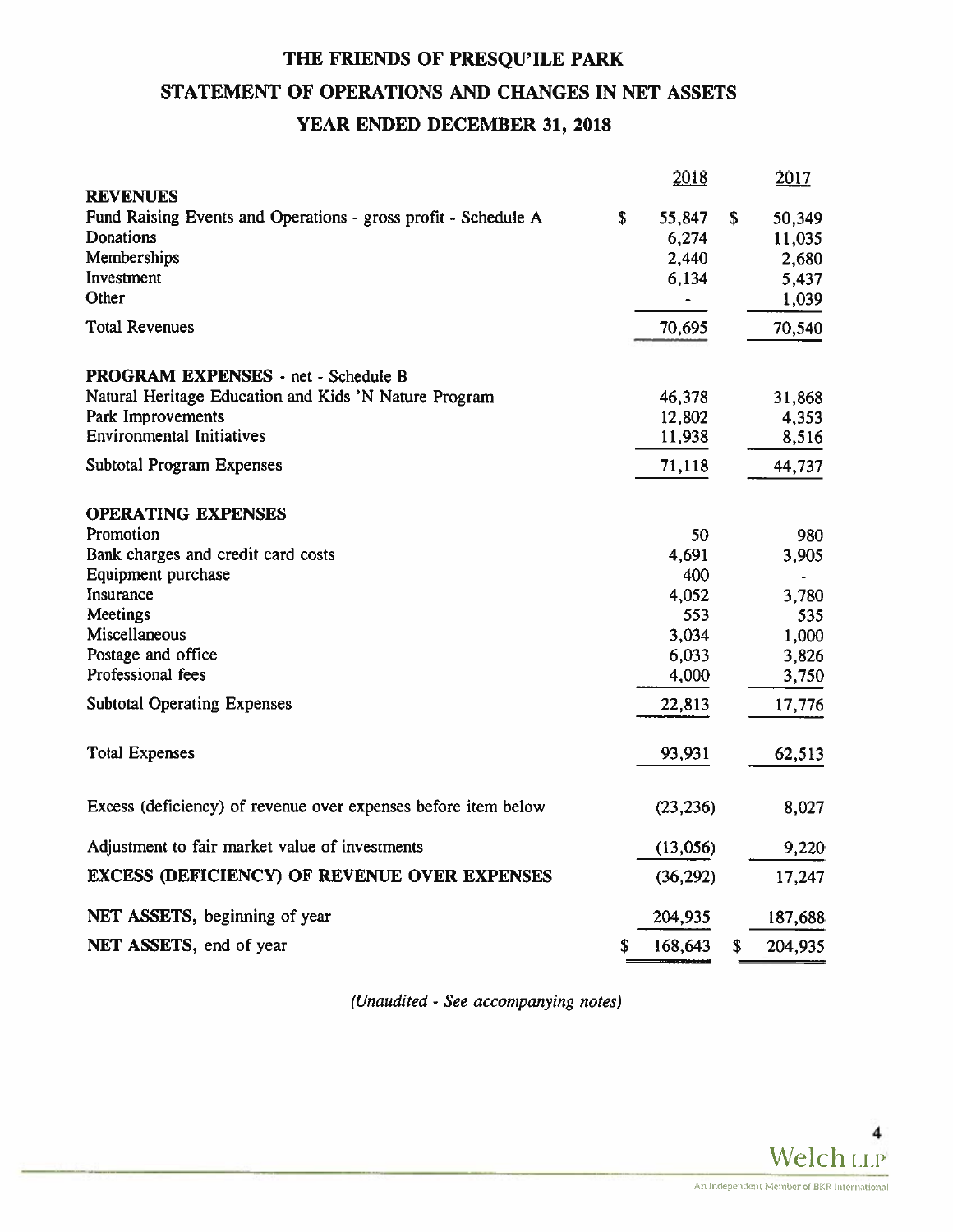# THE FRIENDS OF PRESQU'ILE PARK STATEMENT OF OPERATIONS AND CHANGES IN NET ASSETS YEAR ENDED DECEMBER 31, 2018

|                                                                | 2018                 | 2017          |
|----------------------------------------------------------------|----------------------|---------------|
| <b>REVENUES</b>                                                |                      |               |
| Fund Raising Events and Operations - gross profit - Schedule A | \$<br>55,847         | \$<br>50,349  |
| Donations                                                      | 6,274                | 11,035        |
| Memberships                                                    | 2,440                | 2,680         |
| Investment<br>Other                                            | 6,134                | 5,437         |
|                                                                | $\ddot{\phantom{0}}$ | 1,039         |
| <b>Total Revenues</b>                                          | 70,695               | 70,540        |
| PROGRAM EXPENSES - net - Schedule B                            |                      |               |
| Natural Heritage Education and Kids 'N Nature Program          | 46,378               | 31,868        |
| Park Improvements                                              | 12,802               | 4,353         |
| <b>Environmental Initiatives</b>                               | 11,938               | 8,516         |
| <b>Subtotal Program Expenses</b>                               | 71,118               | 44,737        |
| <b>OPERATING EXPENSES</b>                                      |                      |               |
| Promotion                                                      | 50                   | 980           |
| Bank charges and credit card costs                             | 4,691                | 3,905         |
| Equipment purchase                                             | 400                  |               |
| Insurance                                                      | 4,052                | 3,780         |
| Meetings                                                       | 553                  | 535           |
| Miscellaneous                                                  | 3,034                | 1,000         |
| Postage and office                                             | 6,033                | 3,826         |
| Professional fees                                              | 4,000                | 3,750         |
| <b>Subtotal Operating Expenses</b>                             | 22,813               | 17,776        |
| <b>Total Expenses</b>                                          | 93,931               | 62,513        |
| Excess (deficiency) of revenue over expenses before item below | (23, 236)            | 8,027         |
| Adjustment to fair market value of investments                 | (13,056)             | 9,220         |
| <b>EXCESS (DEFICIENCY) OF REVENUE OVER EXPENSES</b>            | (36, 292)            | 17,247        |
| NET ASSETS, beginning of year                                  | 204,935              | 187,688       |
| NET ASSETS, end of year                                        | \$<br>168,643        | \$<br>204,935 |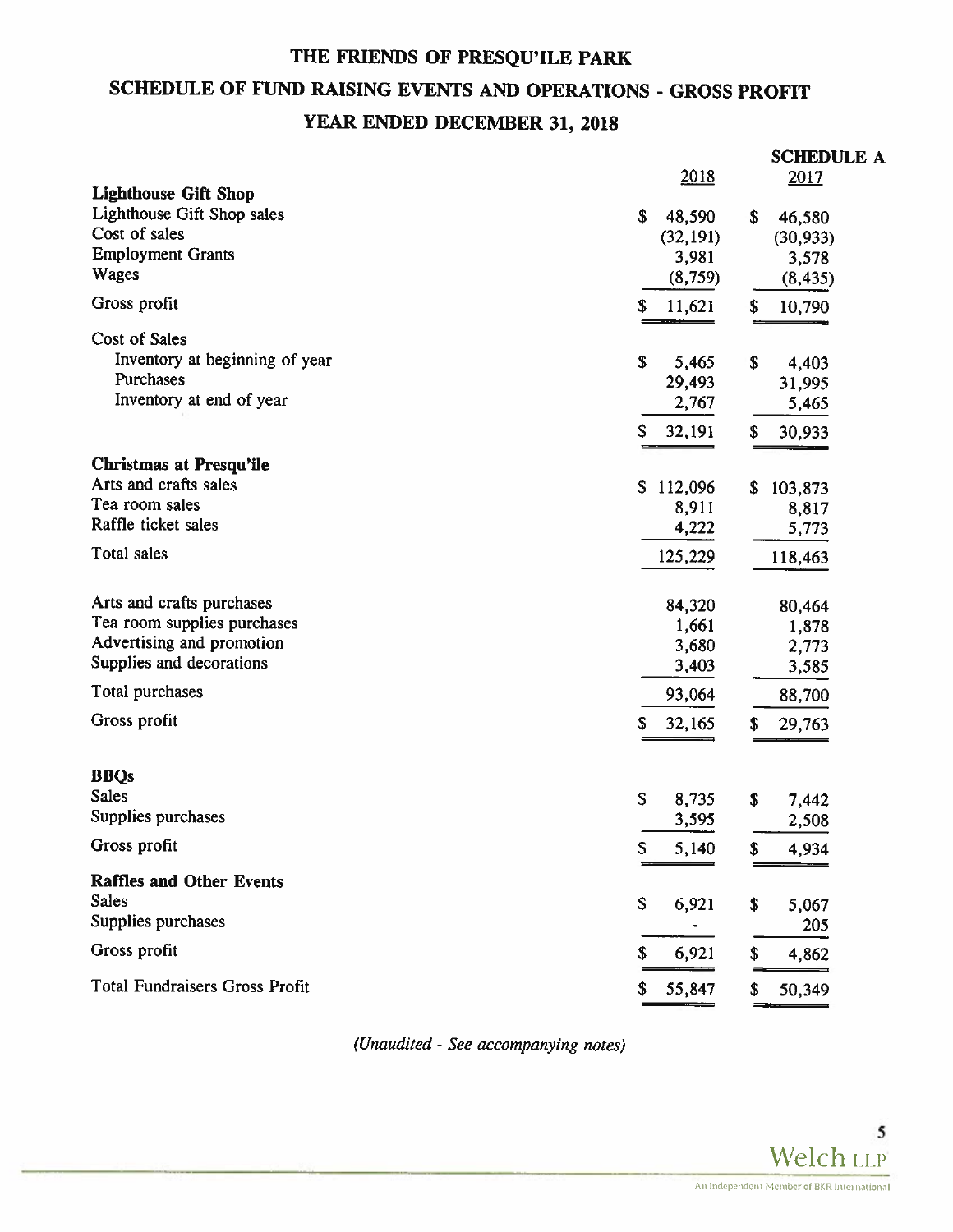# THE FRIENDS OF PRESQU'ILE PARK SCHEDULE OF FUND RAISING EVENTS AND OPERATIONS - GROSS PROFIT YEAR ENDED DECEMBER 31, 2018

|                                       |              | <b>SCHEDULE A</b> |
|---------------------------------------|--------------|-------------------|
|                                       | 2018         | 2017              |
| <b>Lighthouse Gift Shop</b>           |              |                   |
| Lighthouse Gift Shop sales            | \$<br>48,590 | \$<br>46,580      |
| Cost of sales                         | (32, 191)    | (30, 933)         |
| <b>Employment Grants</b>              | 3,981        | 3,578             |
| Wages                                 | (8,759)      | (8, 435)          |
| Gross profit                          | S<br>11,621  | \$<br>10,790      |
| Cost of Sales                         |              |                   |
| Inventory at beginning of year        | \$<br>5,465  | \$<br>4,403       |
| Purchases                             | 29,493       | 31,995            |
| Inventory at end of year              | 2,767        | 5,465             |
|                                       | 32,191<br>\$ | \$<br>30,933      |
| <b>Christmas at Presqu'ile</b>        |              |                   |
| Arts and crafts sales                 | \$112,096    | \$<br>103,873     |
| Tea room sales                        | 8,911        | 8,817             |
| Raffle ticket sales                   | 4,222        | 5,773             |
| <b>Total sales</b>                    | 125,229      | 118,463           |
|                                       |              |                   |
| Arts and crafts purchases             | 84,320       | 80,464            |
| Tea room supplies purchases           | 1,661        | 1,878             |
| Advertising and promotion             | 3,680        | 2,773             |
| Supplies and decorations              | 3,403        | 3,585             |
| Total purchases                       | 93,064       | 88,700            |
| Gross profit                          | 32,165<br>\$ | \$<br>29,763      |
|                                       |              |                   |
| <b>BBQs</b>                           |              |                   |
| <b>Sales</b>                          | \$<br>8,735  | \$<br>7,442       |
| Supplies purchases                    | 3,595        | 2,508             |
| Gross profit                          | 5,140<br>2   | S<br>4,934        |
| <b>Raffles and Other Events</b>       |              |                   |
| <b>Sales</b>                          | \$<br>6,921  | \$<br>5,067       |
| Supplies purchases                    |              | 205               |
| Gross profit                          |              |                   |
|                                       | \$<br>6,921  | \$<br>4,862       |
| <b>Total Fundraisers Gross Profit</b> | 55,847<br>\$ | \$<br>50,349      |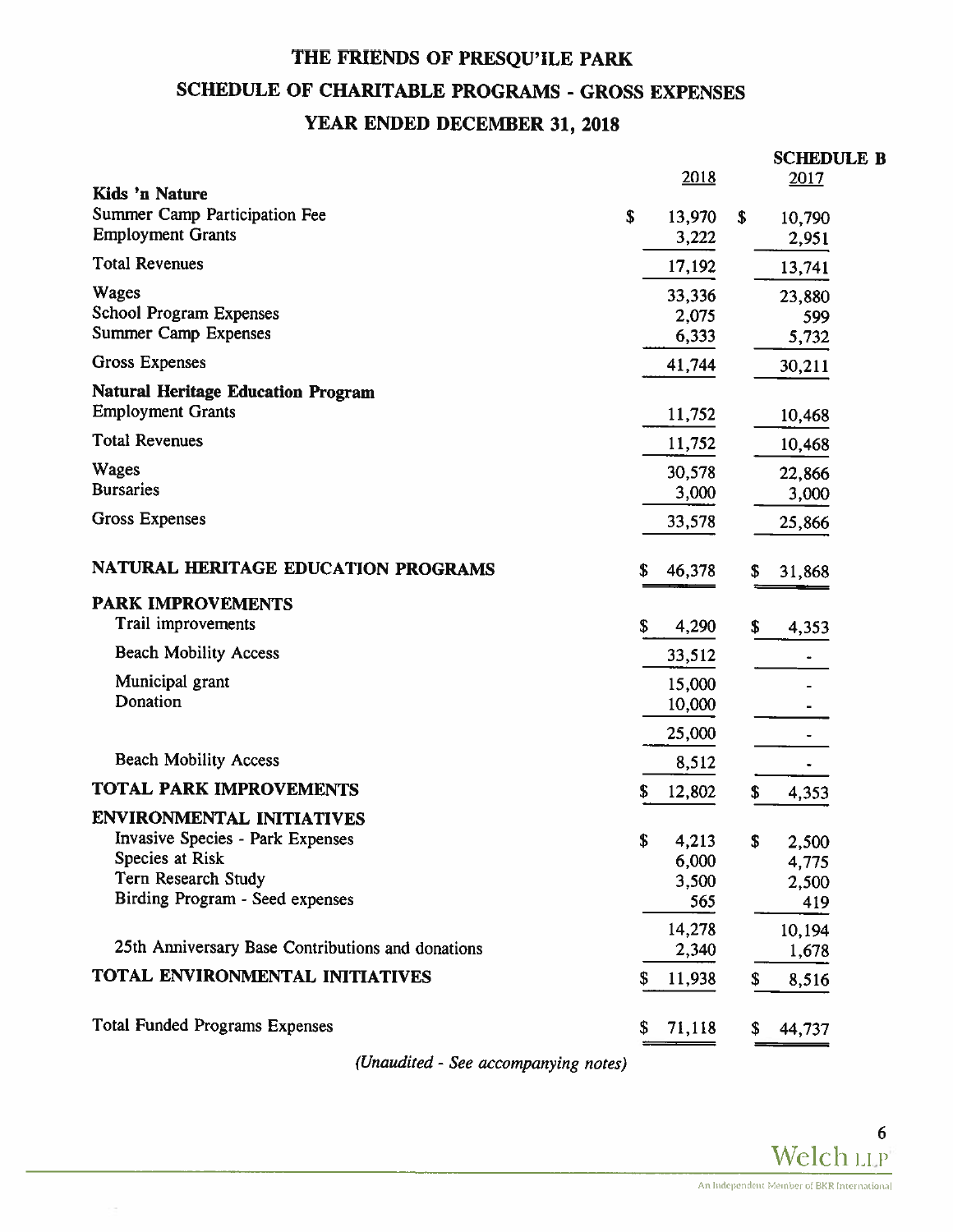# THE FRIENDS OF PRESQU'ILE PARK SCHEDULE OF CHARITABLE PROGRAMS - GROSS EXPENSES YEAR ENDED DECEMBER 31, 2018

|                                                                                                                                                          |    | 2018                           |              | <b>SCHEDULE B</b><br>2017               |
|----------------------------------------------------------------------------------------------------------------------------------------------------------|----|--------------------------------|--------------|-----------------------------------------|
| Kids 'n Nature<br>Summer Camp Participation Fee<br><b>Employment Grants</b>                                                                              | \$ | 13,970<br>3,222                | $\mathbf{s}$ | 10,790<br>2,951                         |
| <b>Total Revenues</b>                                                                                                                                    |    | 17,192                         |              | 13,741                                  |
| <b>Wages</b><br><b>School Program Expenses</b><br><b>Summer Camp Expenses</b>                                                                            |    | 33,336<br>2,075<br>6,333       |              | 23,880<br>599<br>5,732                  |
| Gross Expenses                                                                                                                                           |    | 41,744                         |              | 30,211                                  |
| <b>Natural Heritage Education Program</b><br><b>Employment Grants</b>                                                                                    |    | 11,752                         |              | 10,468                                  |
| <b>Total Revenues</b>                                                                                                                                    |    | 11,752                         |              | 10,468                                  |
| <b>Wages</b><br><b>Bursaries</b>                                                                                                                         |    | 30,578<br>3,000                |              | 22,866<br>3,000                         |
| <b>Gross Expenses</b>                                                                                                                                    |    | 33,578                         |              | 25,866                                  |
| <b>NATURAL HERITAGE EDUCATION PROGRAMS</b>                                                                                                               | S  | 46,378                         | \$           | 31,868                                  |
| <b>PARK IMPROVEMENTS</b><br>Trail improvements                                                                                                           | \$ | 4,290                          | \$           | 4,353                                   |
| <b>Beach Mobility Access</b>                                                                                                                             |    | 33,512                         |              |                                         |
| Municipal grant<br>Donation                                                                                                                              |    | 15,000<br>10,000               |              |                                         |
| <b>Beach Mobility Access</b>                                                                                                                             |    | 25,000<br>8,512                |              |                                         |
| TOTAL PARK IMPROVEMENTS                                                                                                                                  |    | 12,802                         | \$           |                                         |
| <b>ENVIRONMENTAL INITIATIVES</b><br><b>Invasive Species - Park Expenses</b><br>Species at Risk<br>Tern Research Study<br>Birding Program - Seed expenses | \$ | 4,213<br>6,000<br>3,500<br>565 | \$           | 4,353<br>2,500<br>4,775<br>2,500<br>419 |
|                                                                                                                                                          |    | 14,278                         |              | 10,194                                  |
| 25th Anniversary Base Contributions and donations                                                                                                        |    | 2,340                          |              | 1,678                                   |
| TOTAL ENVIRONMENTAL INITIATIVES                                                                                                                          |    | 11,938                         | \$           | 8,516                                   |
| <b>Total Funded Programs Expenses</b>                                                                                                                    | \$ | 71,118                         | \$           | 44,737                                  |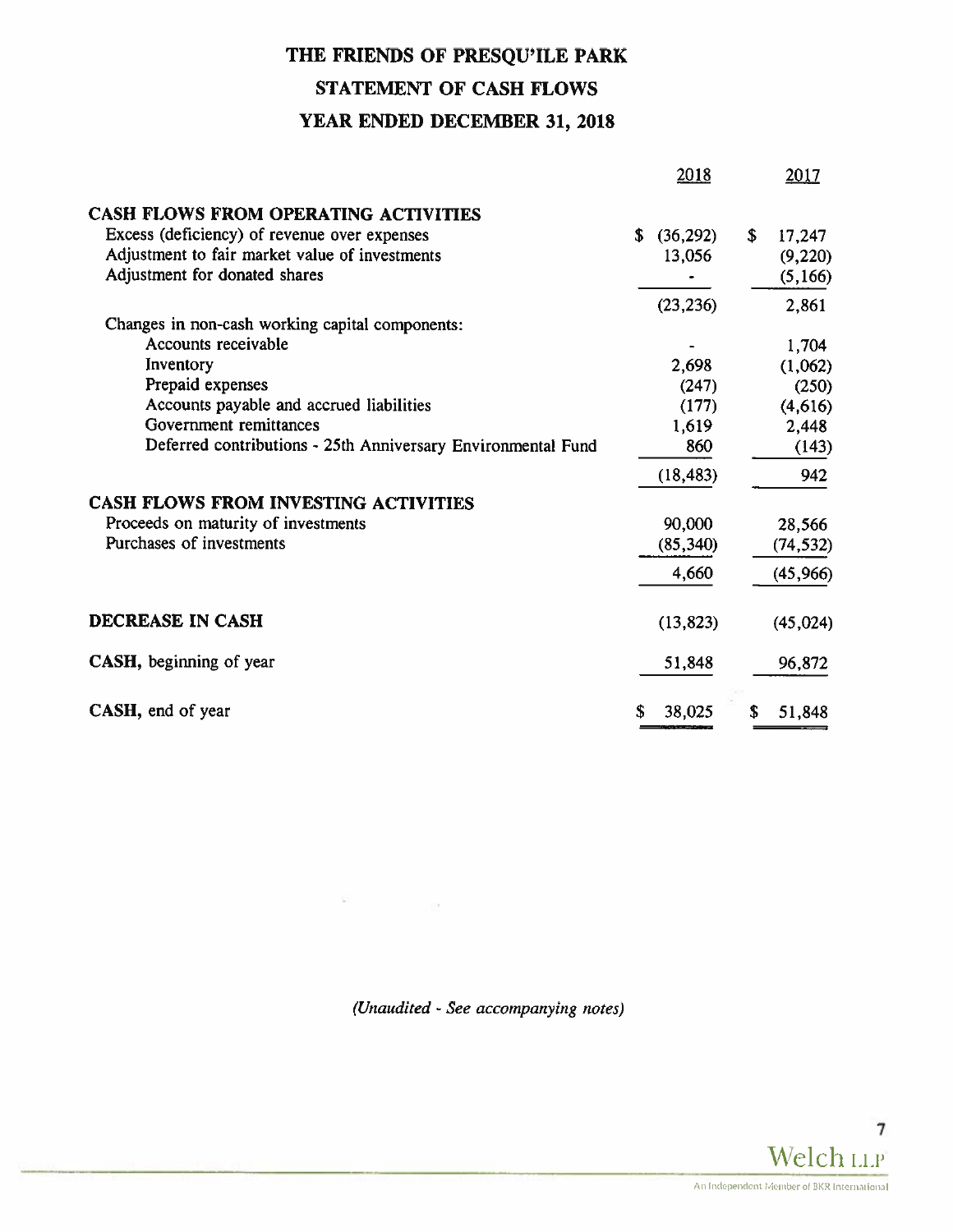# THE FRIENDS OF PRESQU'ILE PARK STATEMENT OF CASH FLOWS YEAR ENDED DECEMBER 31, 2018

|                                                              |    | 2018      |    | 2017      |
|--------------------------------------------------------------|----|-----------|----|-----------|
| CASH FLOWS FROM OPERATING ACTIVITIES                         |    |           |    |           |
| Excess (deficiency) of revenue over expenses                 | \$ | (36, 292) | \$ | 17,247    |
| Adjustment to fair market value of investments               |    | 13,056    |    | (9,220)   |
| Adjustment for donated shares                                |    |           |    | (5, 166)  |
|                                                              |    | (23, 236) |    | 2,861     |
| Changes in non-cash working capital components:              |    |           |    |           |
| Accounts receivable                                          |    |           |    | 1,704     |
| Inventory                                                    |    | 2,698     |    | (1,062)   |
| Prepaid expenses                                             |    | (247)     |    | (250)     |
| Accounts payable and accrued liabilities                     |    | (177)     |    | (4,616)   |
| Government remittances                                       |    | 1,619     |    | 2,448     |
| Deferred contributions - 25th Anniversary Environmental Fund |    | 860       |    | (143)     |
|                                                              |    | (18, 483) |    | 942       |
| <b>CASH FLOWS FROM INVESTING ACTIVITIES</b>                  |    |           |    |           |
| Proceeds on maturity of investments                          |    | 90,000    |    | 28,566    |
| Purchases of investments                                     |    | (85, 340) |    | (74, 532) |
|                                                              |    | 4,660     |    | (45, 966) |
| DECREASE IN CASH                                             |    | (13, 823) |    | (45, 024) |
| CASH, beginning of year                                      |    | 51,848    |    | 96,872    |
| CASH, end of year                                            | S  | 38,025    | S  | 51,848    |

(Unaudited - See accompanying notes)

 $\label{eq:2.1} \begin{array}{ll} \mathbb{E} \tilde{\mathbb{X}} & \mathbb{E} \left[ \mathbb{E} \left[ \mathbb{E} \left[ \mathbb{E} \left[ \mathbb{E} \left[ \mathbb{E} \left[ \mathbb{E} \left[ \mathbb{E} \left[ \mathbb{E} \left[ \mathbb{E} \left[ \mathbb{E} \left[ \mathbb{E} \left[ \mathbb{E} \left[ \mathbb{E} \left[ \mathbb{E} \left[ \mathbb{E} \left[ \mathbb{E} \left[ \mathbb{E} \left[ \mathbb{E} \left[ \mathbb{E} \left[ \mathbb{E} \left$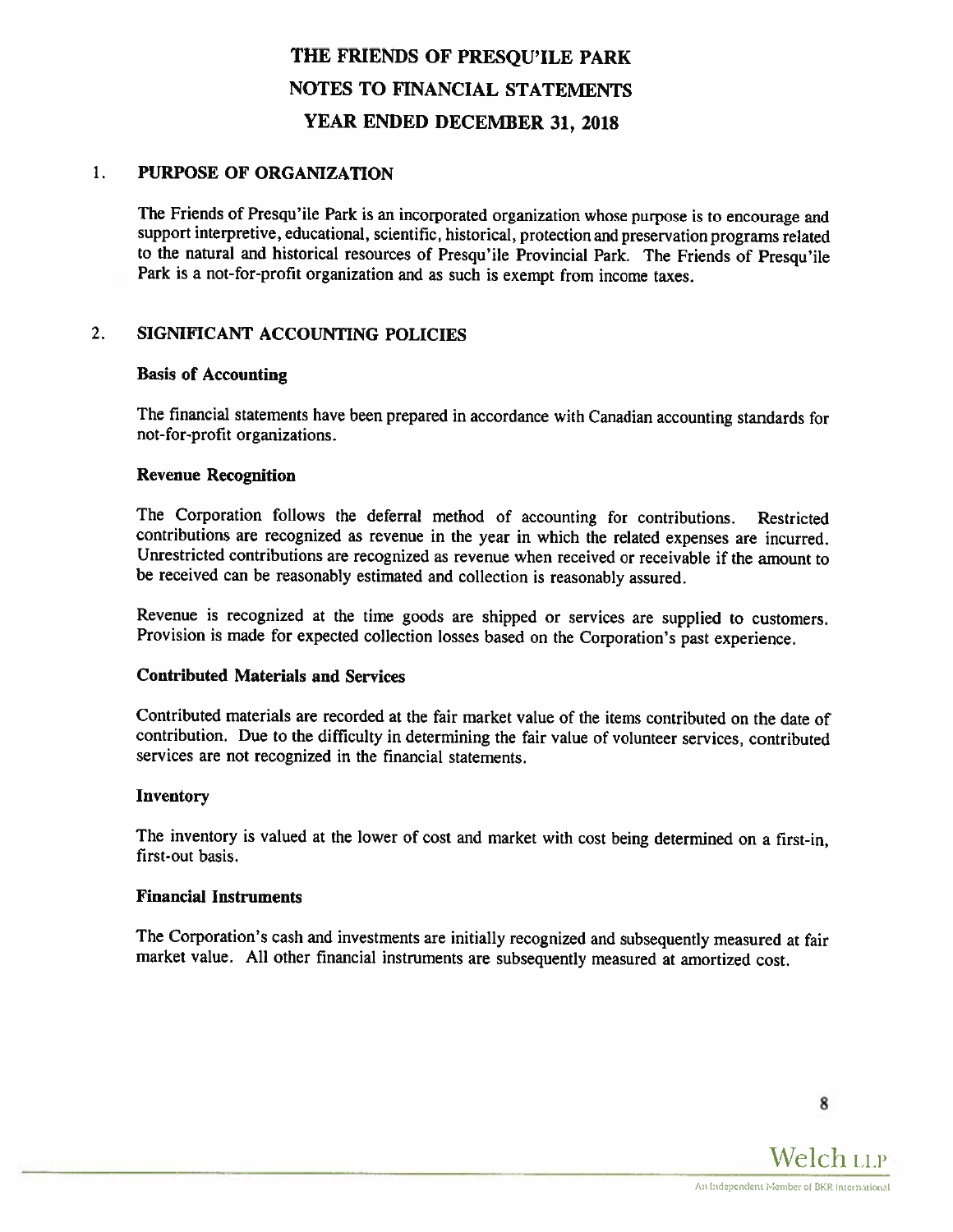#### $1<sub>1</sub>$ PURPOSE OF ORGAMZATION

The Friends of Presqu'ile Park is an incorporated organization whose purpose is to encourage and support interpretive, educational, scientific, historical, protection and preservation programs related to the natural and historical resources of Presqu'ile Provincial Park. The Friends of Presqu'ile Park is a not-for-profit organization and as such is exempt from income taxes.

# 2. SIGMFICANT ACCOUNTING POLICIES

## Basis of Accounting

The financial statements have been prepared in accordance with Canadian accounting standards for not-for-profit organizations.

## Revenue Recognition

The Corporation follows the deferral method of accounting for contributions. Restricted contributions are recognized as revenue in the year in which the related expenses are incurred. Unrestricted contributions are recognized as revenue when received or receivable if the amount to be received can be reasonably estimated and collection is reasonably assured.

Revenue is recognized at the time goods are shipped or services are supplied to customers. Provision is made for expected collection losses based on the Corporation's past experience.

### Contributed Materials and Services

Contributed materials are recorded at the fair market value of the items contributed on the date of contribution. Due to the difficulty in determining the fair value of volunteer services, contributed services are not recognized in the financial statements.

### Inventory

The inventory is valued at the lower of cost and market with cost being determined on <sup>a</sup> first-in, first-out basis.

### Financial Instruments

The Corporation's cash and investments are initially recognized and subsequently measured at fair market value. All other financial instruments are subsequently measured at amortized cost.

8

Welch LLP An Independent Member of BKR International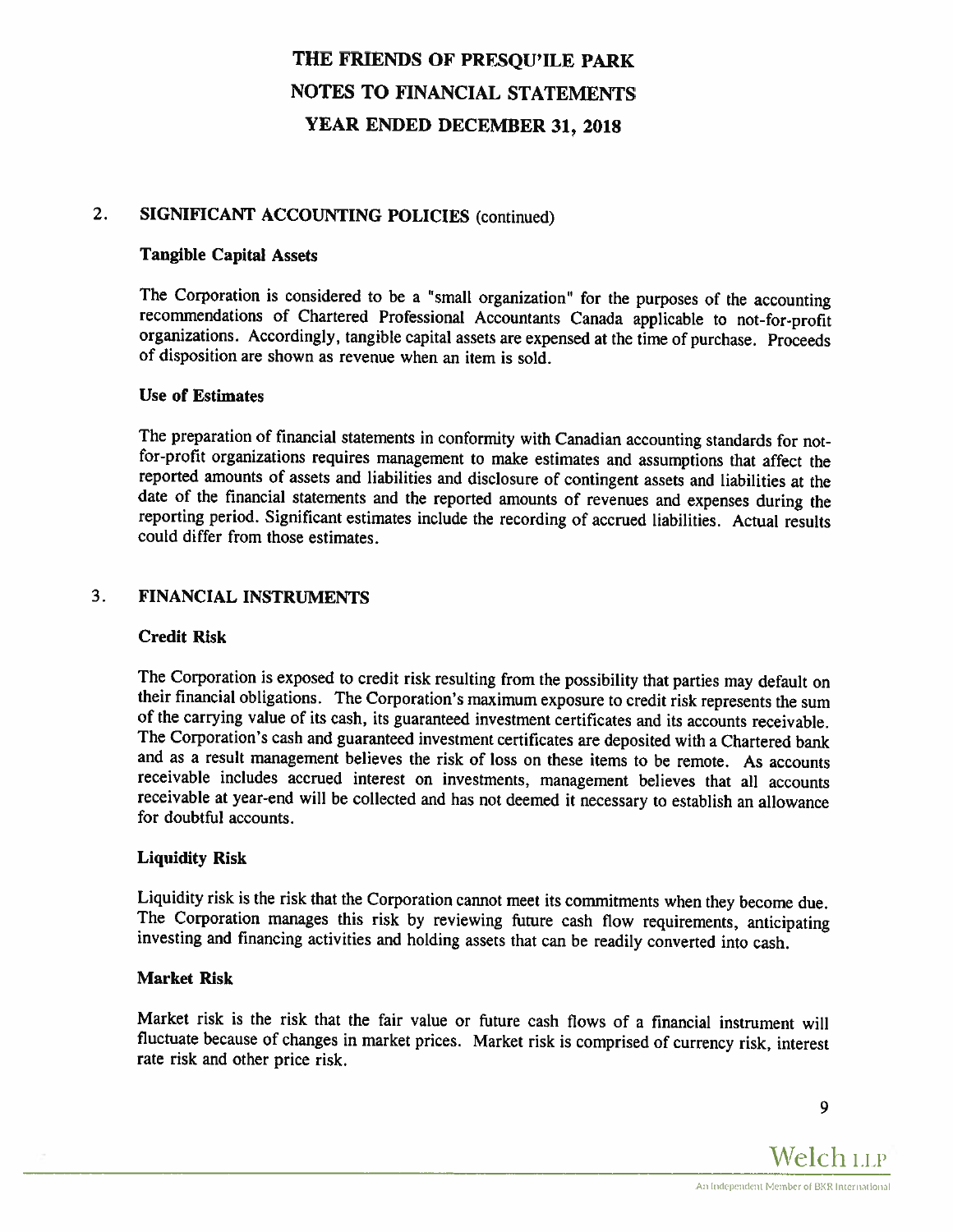# 2. SIGNIFICANT ACCOUNTING POLICIES (continued)

# Tangible Capital Assets

The Corporation is considered to be <sup>a</sup> "small organization" for the purposes of the accounting recommendations of Chartered Professional Accountants Canada applicable to not-for-profit organizations. Accordingly. tangible capital assets are expensed at the time of purchase. Proceeds of disposition are shown as revenue when an item is sold.

### Use of Estimates

The preparation of financial statements in conformity with Canadian accounting standards for notfor-profit organizations requires management to make estimates and assumptions that affect the reported amounts of assets and liabilities and disclosure of contingent assets and liabilities at the reporting period. Significant estimates include the recording of accrued liabilities. Actual results could differ from those estimates.

# 3. FINANCIAL INSTRUMENTS

### Credit Risk

The Corporation is exposed to credit risk resulting from the possibility that parties may default on their financial obligations. The Corporation's maximum exposure to credit risk represents the sum of the carrying value of its cash, its guaranteed investment certificates and its accounts receivable. The Corporation's cash and guaranteed investment certificates are deposited with <sup>a</sup> Chartered bank and as <sup>a</sup> result management believes the risk of loss on these items to be remote. As accounts receivable includes accrued interest on investments, management believes that all accounts receivable at year-end will be collected and has not deemed it necessary to establish an allowance for doubtful accounts.

### Liquidity Risk

Liquidity risk is the risk that the Corporation cannot meet its commitments when they become due.<br>The Corporation manages this risk by reviewing future cash flow requirements, anticipating investing and financing activities and holding assets that can be readily converted into cash.

### Market Risk

Market risk is the risk that the fair value or future cash flows of <sup>a</sup> financial instrument will fluctuate because of changes in market prices. Market risk is comprised of currency risk, interest rate risk and other price risk.

9

Welch LLP An Independent Member of BKR International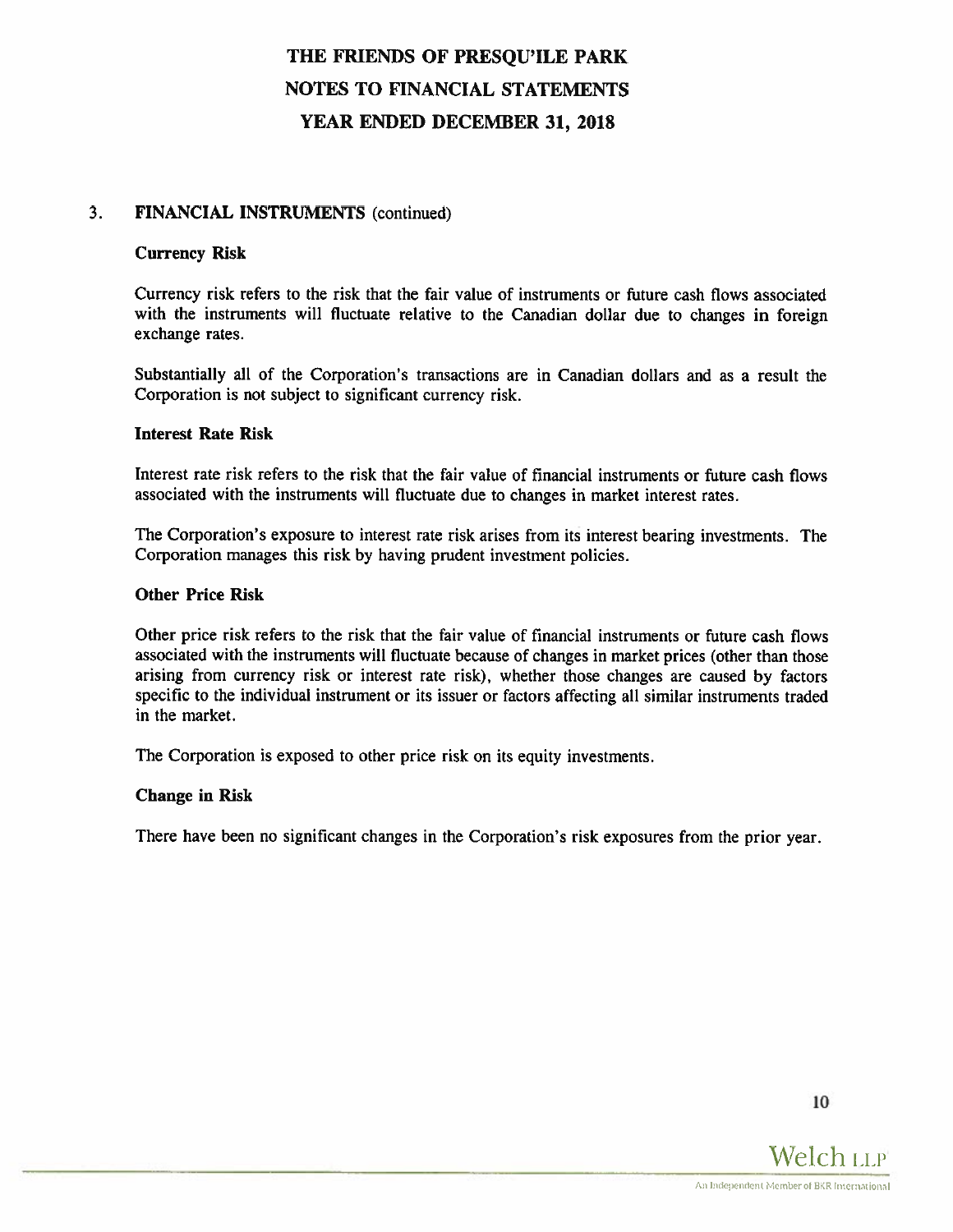## 3. FINANCIAL INSTRUMENTS (continued)

### Currency Risk

Currency risk refers to the risk that the fair value of instruments or future cash flows associated with the instruments will fluctuate relative to the Canadian dollar due to changes in foreign exchange rates.

Substantially all of the Corporation's transactions are in Canadian dollars and as <sup>a</sup> result the Corporation is not subject to significant currency risk.

#### Interest Rate Risk

Interest rate risk refers to the risk that the fair value of financial instruments or future cash flows associated with the instruments will fluctuate due to changes in market interest rates.

The Corporation's exposure to interest rate risk arises from its interest bearing investments. The Corporation manages this risk by having prudent investment policies.

#### Other Price Risk

Other price risk refers to the risk that the fair value of financial instruments or future cash flows associated with the instruments will fluctuate because of changes in market prices (other than those arising from currency risk or interest rate risk), whether those changes are caused by factors specific to the individual instrument or its issuer or factors affecting all similar instruments traded in the market.

The Corporation is exposed to other price risk on its equity investments.

#### Change in Risk

There have been no significant changes in the Corporation's risk exposures from the prior year.

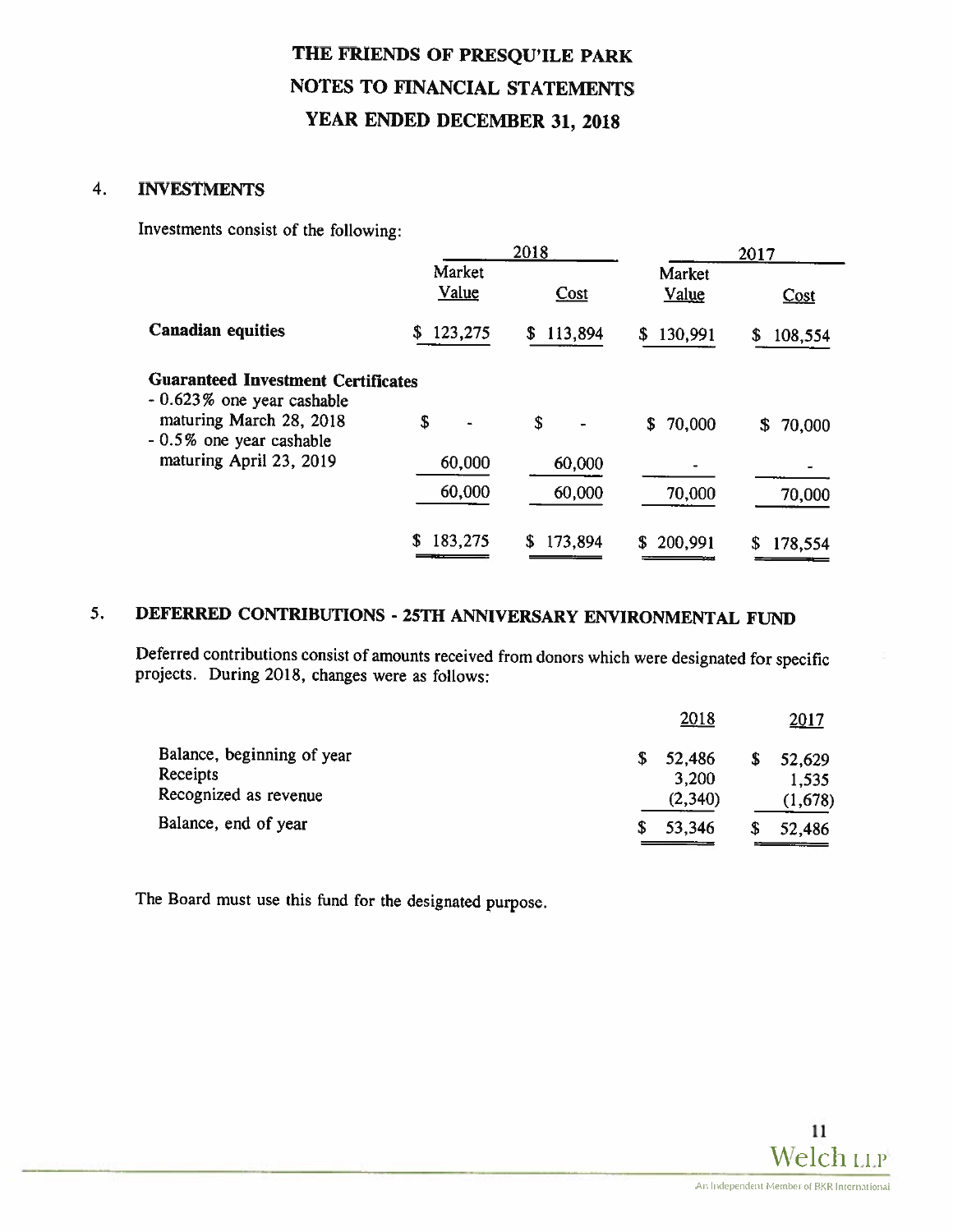## 4. INVESTMENTS

Investments consist of the following:

|                                                                         | 2018            |              |                        | 2017           |
|-------------------------------------------------------------------------|-----------------|--------------|------------------------|----------------|
|                                                                         | Market<br>Value | Cost         | Market<br><b>Value</b> | Cost           |
| <b>Canadian equities</b>                                                | 123,275<br>S    | 113,894<br>S | 130,991<br>S           | 108,554<br>\$. |
| <b>Guaranteed Investment Certificates</b><br>- 0.623% one year cashable |                 |              |                        |                |
| maturing March 28, 2018<br>- 0.5% one year cashable                     | \$              | \$           | 70,000<br>S.           | 70,000<br>\$   |
| maturing April 23, 2019                                                 | 60,000          | 60,000       |                        |                |
|                                                                         | 60,000          | 60,000       | 70,000                 | 70,000         |
|                                                                         | \$<br>183,275   | 173,894<br>S | 200,991<br>S           | \$<br>178,554  |

# 5. DEFERRED CONTRIBUTIONS - 25TH ANNIVERSARY ENVIRONMENTAL FUND

Deferred contributions consist of amounts received from donors which were designated for specific projects. During 2018, changes were as follows:

| <u>2017</u>                                  |
|----------------------------------------------|
| 52,629<br>\$                                 |
| 1,535                                        |
| (1,678)                                      |
| 52,486                                       |
| 2018<br>52,486<br>3,200<br>(2,340)<br>53,346 |

The Board must use this fund for the designated purpose.